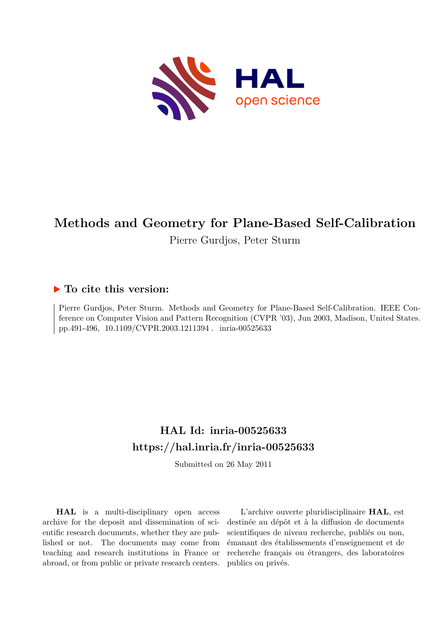

# **Methods and Geometry for Plane-Based Self-Calibration**

Pierre Gurdjos, Peter Sturm

# **To cite this version:**

Pierre Gurdjos, Peter Sturm. Methods and Geometry for Plane-Based Self-Calibration. IEEE Conference on Computer Vision and Pattern Recognition (CVPR '03), Jun 2003, Madison, United States. pp.491-496, 10.1109/CVPR.2003.1211394. inria-00525633

# **HAL Id: inria-00525633 <https://hal.inria.fr/inria-00525633>**

Submitted on 26 May 2011

**HAL** is a multi-disciplinary open access archive for the deposit and dissemination of scientific research documents, whether they are published or not. The documents may come from teaching and research institutions in France or abroad, or from public or private research centers.

L'archive ouverte pluridisciplinaire **HAL**, est destinée au dépôt et à la diffusion de documents scientifiques de niveau recherche, publiés ou non, émanant des établissements d'enseignement et de recherche français ou étrangers, des laboratoires publics ou privés.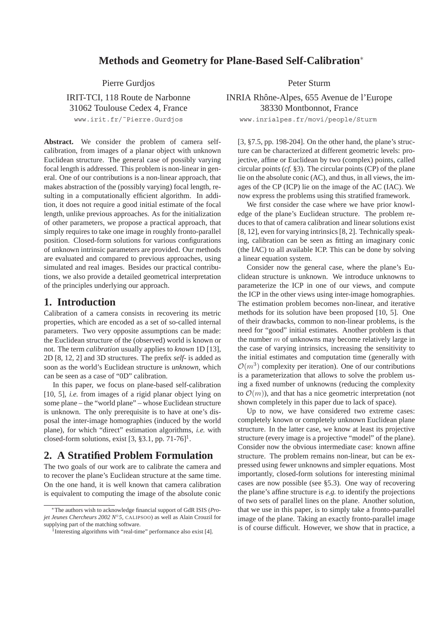## **Methods and Geometry for Plane-Based Self-Calibration**<sup>∗</sup>

Pierre Gurdjos Peter Sturm

www.irit.fr/˜Pierre.Gurdjos www.inrialpes.fr/movi/people/Sturm

**Abstract.** We consider the problem of camera selfcalibration, from images of a planar object with unknown Euclidean structure. The general case of possibly varying focal length is addressed. This problem is non-linear in general. One of our contributions is a non-linear approach, that makes abstraction of the (possibly varying) focal length, resulting in a computationally efficient algorithm. In addition, it does not require a good initial estimate of the focal length, unlike previous approaches. As for the initialization of other parameters, we propose a practical approach, that simply requires to take one image in roughly fronto-parallel position. Closed-form solutions for various configurations of unknown intrinsic parameters are provided. Our methods are evaluated and compared to previous approaches, using simulated and real images. Besides our practical contributions, we also provide a detailed geometrical interpretation of the principles underlying our approach.

## **1. Introduction**

Calibration of a camera consists in recovering its metric properties, which are encoded as a set of so-called internal parameters. Two very opposite assumptions can be made: the Euclidean structure of the (observed) world is known or not. The term *calibration* usually applies to *known* 1D [13], 2D [8, 12, 2] and 3D structures. The prefix *self-* is added as soon as the world's Euclidean structure is *unknown*, which can be seen as a case of "0D" calibration.

In this paper, we focus on plane-based self-calibration [10, 5], *i.e.* from images of a rigid planar object lying on some plane – the "world plane" – whose Euclidean structure is unknown. The only prerequisite is to have at one's disposal the inter-image homographies (induced by the world plane), for which "direct" estimation algorithms, *i.e.* with closed-form solutions, exist  $[3, §3.1, pp. 71-76]$ <sup>1</sup>.

## **2. A Stratified Problem Formulation**

The two goals of our work are to calibrate the camera and to recover the plane's Euclidean structure at the same time. On the one hand, it is well known that camera calibration is equivalent to computing the image of the absolute conic

IRIT-TCI, 118 Route de Narbonne INRIA Rhône-Alpes, 655 Avenue de l'Europe 31062 Toulouse Cedex 4, France 38330 Montbonnot, France

[3, §7.5, pp. 198-204]. On the other hand, the plane's structure can be characterized at different geometric levels: projective, affine or Euclidean by two (complex) points, called circular points (*cf.* §3). The circular points (CP) of the plane lie on the absolute conic (AC), and thus, in all views, the images of the CP (ICP) lie on the image of the AC (IAC). We now express the problems using this stratified framework.

We first consider the case where we have prior knowledge of the plane's Euclidean structure. The problem reduces to that of camera calibration and linear solutions exist [8, 12], even for varying intrinsics [8, 2]. Technically speaking, calibration can be seen as fitting an imaginary conic (the IAC) to all available ICP. This can be done by solving a linear equation system.

Consider now the general case, where the plane's Euclidean structure is unknown. We introduce unknowns to parameterize the ICP in one of our views, and compute the ICP in the other views using inter-image homographies. The estimation problem becomes non-linear, and iterative methods for its solution have been proposed [10, 5]. One of their drawbacks, common to non-linear problems, is the need for "good" initial estimates. Another problem is that the number  $m$  of unknowns may become relatively large in the case of varying intrinsics, increasing the sensitivity to the initial estimates and computation time (generally with  $\mathcal{O}(m^3)$  complexity per iteration). One of our contributions is a parameterization that allows to solve the problem using a fixed number of unknowns (reducing the complexity to  $\mathcal{O}(m)$ ), and that has a nice geometric interpretation (not shown completely in this paper due to lack of space).

Up to now, we have considered two extreme cases: completely known or completely unknown Euclidean plane structure. In the latter case, we know at least its projective structure (every image is a projective "model" of the plane). Consider now the obvious intermediate case: known affine structure. The problem remains non-linear, but can be expressed using fewer unknowns and simpler equations. Most importantly, closed-form solutions for interesting minimal cases are now possible (see §5.3). One way of recovering the plane's affine structure is *e.g.* to identify the projections of two sets of parallel lines on the plane. Another solution, that we use in this paper, is to simply take a fronto-parallel image of the plane. Taking an exactly fronto-parallel image is of course difficult. However, we show that in practice, a

<sup>∗</sup>The authors wish to acknowledge financial support of GdR ISIS (*Projet Jeunes Chercheurs 2002 N*<sup>○</sup>*5*, CALIPSOO) as well as Alain Crouzil for supplying part of the matching software.

 $\frac{1}{1}$ Interesting algorithms with "real-time" performance also exist [4].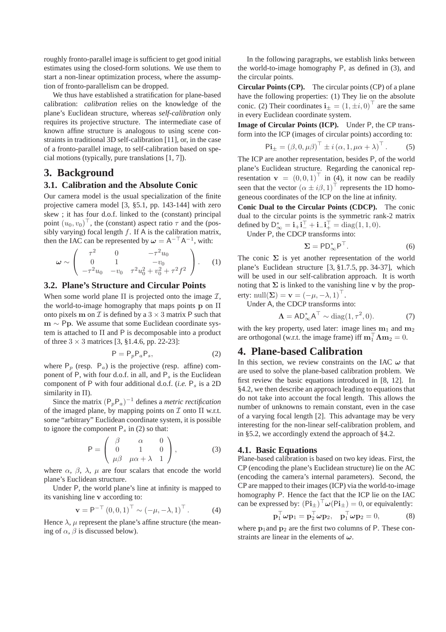roughly fronto-parallel image is sufficient to get good initial estimates using the closed-form solutions. We use them to start a non-linear optimization process, where the assumption of fronto-parallelism can be dropped.

We thus have established a stratification for plane-based calibration: *calibration* relies on the knowledge of the plane's Euclidean structure, whereas *self-calibration* only requires its projective structure. The intermediate case of known affine structure is analogous to using scene constraints in traditional 3D self-calibration [11], or, in the case of a fronto-parallel image, to self-calibration based on special motions (typically, pure translations [1, 7]).

## **3. Background**

#### **3.1. Calibration and the Absolute Conic**

Our camera model is the usual specialization of the finite projective camera model [3, §5.1, pp. 143-144] with zero skew ; it has four d.o.f. linked to the (constant) principal point  $(u_0, v_0)^\top$ , the (constant) aspect ratio  $\tau$  and the (possibly varying) focal length  $f$ . If A is the calibration matrix, then the IAC can be represented by  $\omega = A^{-T}A^{-1}$ , with:

$$
\omega \sim \left(\begin{array}{ccc} \tau^2 & 0 & -\tau^2 u_0 \\ 0 & 1 & -v_0 \\ -\tau^2 u_0 & -v_0 & \tau^2 u_0^2 + v_0^2 + \tau^2 f^2 \end{array}\right). \tag{1}
$$

#### **3.2. Plane's Structure and Circular Points**

When some world plane  $\Pi$  is projected onto the image  $\mathcal{I}$ , the world-to-image homography that maps points **p** on Π onto pixels **m** on  $\mathcal I$  is defined by a  $3 \times 3$  matrix P such that **<sup>m</sup>** <sup>∼</sup> <sup>P</sup>**p**. We assume that some Euclidean coordinate system is attached to Π and P is decomposable into a product of three  $3 \times 3$  matrices [3, §1.4.6, pp. 22-23]:

$$
P = P_p P_a P_s,\tag{2}
$$

where  $P_p$  (resp.  $P_a$ ) is the projective (resp. affine) component of P, with four d.o.f. in all, and P*<sup>s</sup>* is the Euclidean component of P with four additional d.o.f. (*i.e.* P*<sup>s</sup>* is a 2D similarity in Π).

Since the matrix  $(P_pP_q)^{-1}$  defines a *metric rectification* of the imaged plane, by mapping points on  $\mathcal I$  onto  $\Pi$  w.r.t. some "arbitrary" Euclidean coordinate system, it is possible to ignore the component  $P_s$  in (2) so that:

$$
P = \begin{pmatrix} \beta & \alpha & 0 \\ 0 & 1 & 0 \\ \mu\beta & \mu\alpha + \lambda & 1 \end{pmatrix},
$$
 (3)

where  $\alpha$ ,  $\beta$ ,  $\lambda$ ,  $\mu$  are four scalars that encode the world plane's Euclidean structure.

Under P, the world plane's line at infinity is mapped to its vanishing line **v** according to:

$$
\mathbf{v} = \mathsf{P}^{-\top} (0, 0, 1)^{\top} \sim (-\mu, -\lambda, 1)^{\top}.
$$
 (4)

Hence  $\lambda$ ,  $\mu$  represent the plane's affine structure (the meaning of  $\alpha$ ,  $\beta$  is discussed below).

In the following paragraphs, we establish links between the world-to-image homography P, as defined in (3), and the circular points.

**Circular Points (CP).** The circular points (CP) of a plane have the following properties: (1) They lie on the absolute conic. (2) Their coordinates  $\mathbf{i}_{\pm} = (1, \pm i, 0)^\top$  are the same in every Euclidean coordinate system.

**Image of Circular Points (ICP).** Under P, the CP transform into the ICP (images of circular points) according to:

$$
\mathbf{Pi}_{\pm} = (\beta, 0, \mu \beta)^{\top} \pm i (\alpha, 1, \mu \alpha + \lambda)^{\top}.
$$
 (5)

The ICP are another representation, besides P, of the world plane's Euclidean structure. Regarding the canonical representation  $\mathbf{v} = (0, 0, 1)^\top$  in (4), it now can be readily seen that the vector  $(\alpha \pm i\beta, 1)^T$  represents the 1D homogeneous coordinates of the ICP on the line at infinity.

**Conic Dual to the Circular Points (CDCP).** The conic dual to the circular points is the symmetric rank-2 matrix defined by  $D_{\infty}^* = i_{+}i_{-}^{\top} + i_{-}i_{+}^{\top} = \text{diag}(1, 1, 0).$ 

Under P, the CDCP transforms into:

$$
\Sigma = \mathsf{PD}_{\infty}^* \mathsf{P}^\top. \tag{6}
$$

The conic  $\Sigma$  is yet another representation of the world plane's Euclidean structure [3, §1.7.5, pp. 34-37], which will be used in our self-calibration approach. It is worth noting that  $\Sigma$  is linked to the vanishing line **v** by the property: null $(\Sigma) = \mathbf{v} = (-\mu, -\lambda, 1)^\top$ .

Under A, the CDCP transforms into:

$$
\Lambda = AD_{\infty}^* A^{\top} \sim \text{diag}(1, \tau^2, 0). \tag{7}
$$

with the key property, used later: image lines  $m_1$  and  $m_2$ are orthogonal (w.r.t. the image frame) iff  $\mathbf{m}_1^{\top} \mathbf{\Lambda} \mathbf{m}_2 = 0$ .

## **4. Plane-based Calibration**

In this section, we review constraints on the IAC *ω* that are used to solve the plane-based calibration problem. We first review the basic equations introduced in [8, 12]. In §4.2, we then describe an approach leading to equations that do not take into account the focal length. This allows the number of unknowns to remain constant, even in the case of a varying focal length [2]. This advantage may be very interesting for the non-linear self-calibration problem, and in §5.2, we accordingly extend the approach of §4.2.

#### **4.1. Basic Equations**

Plane-based calibration is based on two key ideas. First, the CP (encoding the plane's Euclidean structure) lie on the AC (encoding the camera's internal parameters). Second, the CP are mapped to their images (ICP) via the world-to-image homography P. Hence the fact that the ICP lie on the IAC can be expressed by:  $(Pi_{\pm})^{\top} \omega(Pi_{\pm})=0$ , or equivalently:

$$
\mathbf{p}_1^\top \boldsymbol{\omega} \mathbf{p}_1 = \mathbf{p}_2^\top \boldsymbol{\omega} \mathbf{p}_2, \quad \mathbf{p}_1^\top \boldsymbol{\omega} \mathbf{p}_2 = 0,\tag{8}
$$

where  $p_1$  and  $p_2$  are the first two columns of P. These constraints are linear in the elements of *ω*.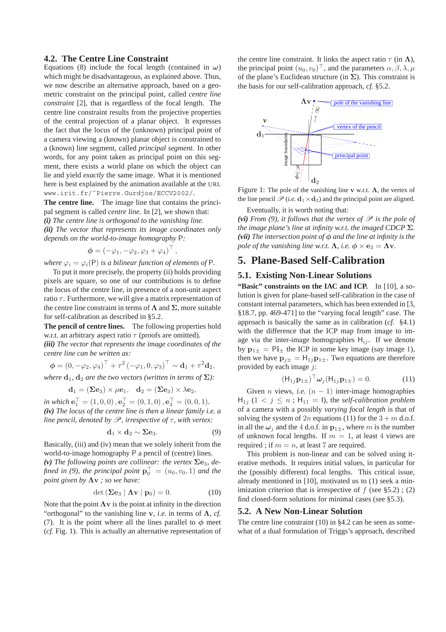#### **4.2. The Centre Line Constraint**

Equations (8) include the focal length (contained in  $\omega$ ) which might be disadvantageous, as explained above. Thus, we now describe an alternative approach, based on a geometric constraint on the principal point, called *centre line constraint* [2], that is regardless of the focal length. The centre line constraint results from the projective properties of the central projection of a planar object. It expresses the fact that the locus of the (unknown) principal point of a camera viewing a (known) planar object is constrained to a (known) line segment, called *principal segment*. In other words, for any point taken as principal point on this segment, there exists a world plane on which the object can lie and yield *exactly* the same image. What it is mentioned here is best explained by the animation available at the URL www.irit.fr/˜Pierre.Gurdjos/ECCV2002/.

**The centre line.** The image line that contains the principal segment is called *centre line*. In [2], we shown that: *(i) The centre line is orthogonal to the vanishing line. (ii) The vector that represents its image coordinates only depends on the world-to-image homography* P*:*

$$
\boldsymbol{\phi} = (-\varphi_1, -\varphi_2, \varphi_3 + \varphi_4)^\top,
$$

*where*  $\varphi_i = \varphi_i(P)$  *is a bilinear function of elements of* P.

To put it more precisely, the property (ii) holds providing pixels are square, so one of our contributions is to define the locus of the centre line, in presence of a non-unit aspect ratio  $\tau$ . Furthermore, we will give a matrix representation of the centre line constraint in terms of **Λ** and **Σ**, more suitable for self-calibration as described in §5.2.

**The pencil of centre lines.** The following properties hold w.r.t. an arbitrary aspect ratio  $\tau$  (proofs are omitted).

*(iii) The vector that represents the image coordinates of the centre line can be written as:*

$$
\boldsymbol{\phi} = (0, -\varphi_2, \varphi_4)^\top + \tau^2 (-\varphi_1, 0, \varphi_3)^\top \sim \mathbf{d}_1 + \tau^2 \mathbf{d}_2,
$$
  
where  $\mathbf{d}_1$ ,  $\mathbf{d}_2$  are the two vectors (written in terms of  $\Sigma$ ):

$$
\mathbf{d}_1 = (\boldsymbol{\Sigma}\mathbf{e}_3)\times\mu\mathbf{e}_1, \quad \mathbf{d}_2 = (\boldsymbol{\Sigma}\mathbf{e}_3)\times\lambda\mathbf{e}_2,
$$

*in which*  $\mathbf{e}_1^{\top} = (1, 0, 0), \mathbf{e}_2^{\top} = (0, 1, 0), \mathbf{e}_3^{\top} = (0, 0, 1)$ *. (iv) The locus of the centre line is then a linear family i.e. a line pencil, denoted by*  $\mathcal{P}$ *, irrespective of*  $\tau$ *, with vertex:* 

$$
\mathbf{d}_1 \times \mathbf{d}_2 \sim \Sigma \mathbf{e}_3. \tag{9}
$$

Basically, (iii) and (iv) mean that we solely inherit from the world-to-image homography P a pencil of (centre) lines. (v) The following points are collinear: the vertex  $\Sigma e_3$ , de-

*fined in (9), the principal point*  $\mathbf{p}_0^{\top} = (u_0, v_0, 1)$  *and the point given by* **Λv** *; so we have:*

$$
\det\left(\sum \mathbf{e}_3 \mid \mathbf{\Lambda} \mathbf{v} \mid \mathbf{p}_0\right) = 0. \tag{10}
$$

Note that the point  $\Lambda v$  is the point at infinity in the direction "orthogonal" to the vanishing line **v**, *i.e.* in terms of  $\Lambda$ , *cf.* (7). It is the point where all the lines parallel to  $\phi$  meet (*cf.* Fig. 1). This is actually an alternative representation of the centre line constraint. It links the aspect ratio  $\tau$  (in  $\Lambda$ ), the principal point  $(u_0, v_0)^\top$ , and the parameters  $\alpha, \beta, \lambda, \mu$ of the plane's Euclidean structure (in **Σ**). This constraint is the basis for our self-calibration approach, *cf.* §5.2.



Figure 1: The pole of the vanishing line **v** w.r.t. **Λ**, the vertex of the line pencil  $\mathcal{P}$  (*i.e.*  $\mathbf{d}_1 \times \mathbf{d}_2$ ) and the principal point are aligned.

Eventually, it is worth noting that:

*(vi) From (9), it follows that the vertex of*  $\mathscr P$  *is the pole of the image plane's line at infinity w.r.t. the imaged CDCP* **Σ***. (vii) The intersection point of φ and the line at infinity is the pole of the vanishing line w.r.t.*  $\Lambda$ *, i.e.*  $\phi \times e_3 = \Lambda v$ *.* 

# **5. Plane-Based Self-Calibration**

#### **5.1. Existing Non-Linear Solutions**

**"Basic" constraints on the IAC and ICP.** In [10], a solution is given for plane-based self-calibration in the case of constant internal parameters, which has been extended in [3, §18.7, pp. 469-471] to the "varying focal length" case. The approach is basically the same as in calibration (*cf.* §4.1) with the difference that the ICP map from image to image via the inter-image homographies  $H_{ij}$ . If we denote by  $\mathbf{p}_{1\pm} = \mathbf{P} \mathbf{i}_{\pm}$  the ICP in some key image (say image 1), then we have  $\mathbf{p}_{j\pm} = \mathbf{H}_{1j} \mathbf{p}_{1\pm}$ . Two equations are therefore provided by each image  $i$ :

$$
(\mathsf{H}_{1j}\mathbf{p}_{1\pm})^{\top}\boldsymbol{\omega}_j(\mathsf{H}_{1j}\mathbf{p}_{1\pm})=0.
$$
 (11)

Given *n* views, *i.e.*  $(n - 1)$  inter-image homographies  $H_{1j}$  (1 <  $j \leq n$ ;  $H_{11} = I$ ), the *self-calibration problem* of a camera with a possibly *varying focal length* is that of solving the system of 2n equations (11) for the  $3 + m$  d.o.f. in all the  $\omega_i$  and the 4 d.o.f. in  $\mathbf{p}_{1+}$ , where m is the number of unknown focal lengths. If  $m = 1$ , at least 4 views are required ; if  $m = n$ , at least 7 are required.

This problem is non-linear and can be solved using iterative methods. It requires initial values, in particular for the (possibly different) focal lengths. This critical issue, already mentioned in [10], motivated us to (1) seek a minimization criterion that is irrespective of  $f$  (see §5.2); (2) find closed-form solutions for minimal cases (see §5.3).

#### **5.2. A New Non-Linear Solution**

The centre line constraint (10) in §4.2 can be seen as somewhat of a dual formulation of Triggs's approach, described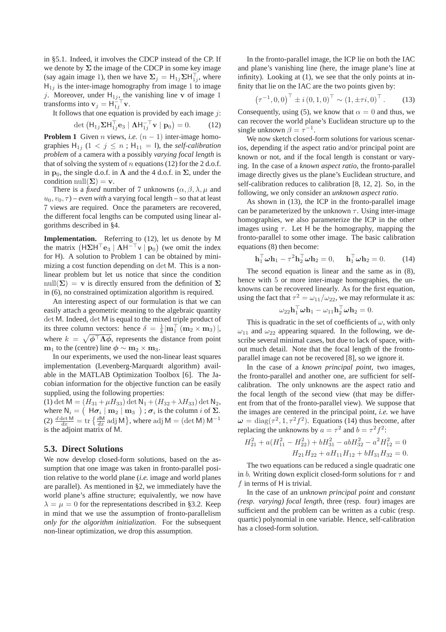in §5.1. Indeed, it involves the CDCP instead of the CP. If we denote by  $\Sigma$  the image of the CDCP in some key image (say again image 1), then we have  $\Sigma_j = H_{1j} \Sigma H_{1j}^{\top}$ , where  $H_{1j}$  is the inter-image homography from image 1 to image j. Moreover, under  $H_{1j}$ , the vanishing line **v** of image 1 transforms into  $\mathbf{v}_j = \mathbf{H}_{1j}^{\text{T}} \mathbf{v}$ .

It follows that one equation is provided by each image  $j$ :

$$
\det \left( \mathsf{H}_{1j} \Sigma \mathsf{H}_{1j}^{\top} \mathbf{e}_3 \mid \mathbf{\Lambda} \mathsf{H}_{1j}^{-\top} \mathbf{v} \mid \mathbf{p}_0 \right) = 0. \tag{12}
$$

**Problem 1** Given *n* views, *i.e.*  $(n - 1)$  inter-image homographies  $H_{1j}$  ( $1 < j \leq n$ ;  $H_{11} = I$ ), the *self-calibration problem* of a camera with a possibly *varying focal length* is that of solving the system of *n* equations (12) for the 2 d.o.f. in  $p_0$ , the single d.o.f. in  $\Lambda$  and the 4 d.o.f. in  $\Sigma$ , under the condition null $(\Sigma) = \mathbf{v}$ .

There is a *fixed* number of 7 unknowns  $(\alpha, \beta, \lambda, \mu)$  and  $u_0, v_0, \tau$  ) – *even with* a varying focal length – so that at least 7 views are required. Once the parameters are recovered, the different focal lengths can be computed using linear algorithms described in §4.

**Implementation.** Referring to (12), let us denote by M the matrix  $(H\Sigma H^{\top}e_3 \mid \Lambda H^{-\top}v \mid p_0)$  (we omit the index for H). A solution to Problem 1 can be obtained by minimizing a cost function depending on det M. This is a nonlinear problem but let us notice that since the condition null( $\Sigma$ ) = **v** is directly ensured from the definition of  $\Sigma$ in (6), no constrained optimization algorithm is required.

An interesting aspect of our formulation is that we can easily attach a geometric meaning to the algebraic quantity det M. Indeed, det M is equal to the mixed triple product of its three column vectors: hence  $\delta = \frac{1}{k} |\mathbf{m}_1| (\mathbf{m}_2 \times \mathbf{m}_3) |$ , where  $k = \sqrt{\phi^T \Lambda \phi}$ , represents the distance from point **m**<sub>1</sub> to the (centre) line  $\phi \sim m_2 \times m_3$ .

In our experiments, we used the non-linear least squares implementation (Levenberg-Marquardt algorithm) available in the MATLAB Optimization Toolbox [6]. The Jacobian information for the objective function can be easily supplied, using the following properties:

(1) det  $M = (H_{31} + \mu H_{33})$  det  $N_1 + (H_{32} + \lambda H_{33})$  det  $N_2$ , where  $N_i = (H\sigma_i | m_2 | m_3)$ ;  $\sigma_i$  is the column i of  $\Sigma$ . (2)  $\frac{d \det M}{dx} = \text{tr} \left\{ \frac{dM}{dx} \text{adj } M \right\}$ , where adj  $M = (\det M) M^{-1}$ is the adjoint matrix of M.

#### **5.3. Direct Solutions**

We now develop closed-form solutions, based on the assumption that one image was taken in fronto-parallel position relative to the world plane (*i.e.* image and world planes are parallel). As mentioned in §2, we immediately have the world plane's affine structure; equivalently, we now have  $\lambda = \mu = 0$  for the representations described in §3.2. Keep in mind that we use the assumption of fronto-parallelism *only for the algorithm initialization*. For the subsequent non-linear optimization, we drop this assumption.

In the fronto-parallel image, the ICP lie on both the IAC and plane's vanishing line (here, the image plane's line at infinity). Looking at (1), we see that the only points at infinity that lie on the IAC are the two points given by:

$$
\left(\tau^{-1}, 0, 0\right)^{\top} \pm i \left(0, 1, 0\right)^{\top} \sim \left(1, \pm \tau i, 0\right)^{\top}.
$$
 (13)

Consequently, using (5), we know that  $\alpha = 0$  and thus, we can recover the world plane's Euclidean structure up to the single unknown  $\beta = \tau^{-1}$ .

We now sketch closed-form solutions for various scenarios, depending if the aspect ratio and/or principal point are known or not, and if the focal length is constant or varying. In the case of a *known aspect ratio*, the fronto-parallel image directly gives us the plane's Euclidean structure, and self-calibration reduces to calibration [8, 12, 2]. So, in the following, we only consider an *unknown aspect ratio*.

As shown in (13), the ICP in the fronto-parallel image can be parameterized by the unknown  $\tau$ . Using inter-image homographies, we also parameterize the ICP in the other images using  $\tau$ . Let H be the homography, mapping the fronto-parallel to some other image. The basic calibration equations (8) then become:

$$
\mathbf{h}_1^\top \boldsymbol{\omega} \mathbf{h}_1 - \tau^2 \mathbf{h}_2^\top \boldsymbol{\omega} \mathbf{h}_2 = 0, \quad \mathbf{h}_1^\top \boldsymbol{\omega} \mathbf{h}_2 = 0. \quad (14)
$$

The second equation is linear and the same as in (8), hence with 5 or more inter-image homographies, the unknowns can be recovered linearly. As for the first equation, using the fact that  $\tau^2 = \omega_{11}/\omega_{22}$ , we may reformulate it as:

$$
\omega_{22}\mathbf{h}_1^\top\boldsymbol{\omega}\mathbf{h}_1 - \omega_{11}\mathbf{h}_2^\top\boldsymbol{\omega}\mathbf{h}_2 = 0.
$$

This is quadratic in the set of coefficients of  $\omega$ , with only  $\omega_{11}$  and  $\omega_{22}$  appearing squared. In the following, we describe several minimal cases, but due to lack of space, without much detail. Note that the focal length of the frontoparallel image can not be recovered [8], so we ignore it.

In the case of a *known principal point*, two images, the fronto-parallel and another one, are sufficient for selfcalibration. The only unknowns are the aspect ratio and the focal length of the second view (that may be different from that of the fronto-parallel view). We suppose that the images are centered in the principal point, *i.e.* we have  $\omega = \text{diag}(\tau^2, 1, \tau^2 f^2)$ . Equations (14) thus become, after replacing the unknowns by  $a = \tau^2$  and  $b = \tau^2 f^2$ :

$$
H_{21}^2 + a(H_{11}^2 - H_{22}^2) + bH_{31}^2 - abH_{32}^2 - a^2H_{12}^2 = 0
$$
  

$$
H_{21}H_{22} + aH_{11}H_{12} + bH_{31}H_{32} = 0.
$$

The two equations can be reduced a single quadratic one in b. Writing down explicit closed-form solutions for  $\tau$  and  $f$  in terms of H is trivial.

In the case of an *unknown principal point* and *constant (resp. varying) focal length*, three (resp. four) images are sufficient and the problem can be written as a cubic (resp. quartic) polynomial in one variable. Hence, self-calibration has a closed-form solution.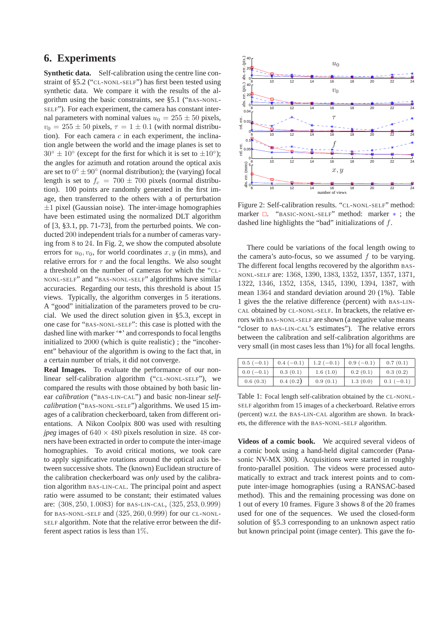## **6. Experiments**

**Synthetic data.** Self-calibration using the centre line constraint of §5.2 ("CL-NONL-SELF") has first been tested using synthetic data. We compare it with the results of the algorithm using the basic constraints, see §5.1 ("BAS-NONL-SELF"). For each experiment, the camera has constant internal parameters with nominal values  $u_0 = 255 \pm 50$  pixels,  $v_0 = 255 \pm 50$  pixels,  $\tau = 1 \pm 0.1$  (with normal distribution). For each camera  $c$  in each experiment, the inclination angle between the world and the image planes is set to  $30^\circ \pm 10^\circ$  (except for the first for which it is set to  $\pm 10^\circ$ ); the angles for azimuth and rotation around the optical axis are set to  $0° \pm 90°$  (normal distribution); the (varying) focal length is set to  $f_c = 700 \pm 700$  pixels (normal distribution). 100 points are randomly generated in the first image, then transferred to the others with a of perturbation  $\pm 1$  pixel (Gaussian noise). The inter-image homographies have been estimated using the normalized DLT algorithm of [3, §3.1, pp. 71-73], from the perturbed points. We conducted 200 independent trials for a number of cameras varying from 8 to 24. In Fig. 2, we show the computed absolute errors for  $u_0, v_0$ , for world coordinates x, y (in mms), and relative errors for  $\tau$  and the focal lengths. We also sought a threshold on the number of cameras for which the "CL-NONL-SELF" and "BAS-NONL-SELF" algorithms have similar accuracies. Regarding our tests, this threshold is about 15 views. Typically, the algorithm converges in 5 iterations. A "good" initialization of the parameters proved to be crucial. We used the direct solution given in §5.3, except in one case for "BAS-NONL-SELF": this case is plotted with the dashed line with marker '\*' and corresponds to focal lengths initialized to 2000 (which is quite realistic) ; the "incoherent" behaviour of the algorithm is owing to the fact that, in a certain number of trials, it did not converge.

**Real Images.** To evaluate the performance of our nonlinear self-calibration algorithm ("CL-NONL-SELF"), we compared the results with those obtained by both basic linear *calibration* ("BAS-LIN-CAL") and basic non-linear *selfcalibration* ("BAS-NONL-SELF") algorithms. We used 15 images of a calibration checkerboard, taken from different orientations. A Nikon Coolpix 800 was used with resulting *jpeg* images of  $640 \times 480$  pixels resolution in size. 48 corners have been extracted in order to compute the inter-image homographies. To avoid critical motions, we took care to apply significative rotations around the optical axis between successive shots. The (known) Euclidean structure of the calibration checkerboard was *only* used by the calibration algorithm BAS-LIN-CAL. The principal point and aspect ratio were assumed to be constant; their estimated values are: (308, 250, 1.0083) for BAS-LIN-CAL, (325, 253, 0.999) for BAS-NONL-SELF and (325, 260, 0.999) for our CL-NONL-SELF algorithm. Note that the relative error between the different aspect ratios is less than 1%.



Figure 2: Self-calibration results. "CL-NONL-SELF" method: marker  $\Box$ . "BASIC-NONL-SELF" method: marker  $*$ ; the dashed line highlights the "bad" initializations of f.

There could be variations of the focal length owing to the camera's auto-focus, so we assumed  $f$  to be varying. The different focal lengths recovered by the algorithm BAS-NONL-SELF are: 1368, 1390, 1383, 1352, 1357, 1357, 1371, 1322, 1346, 1352, 1358, 1345, 1390, 1394, 1387, with mean 1364 and standard deviation around 20 (1%). Table 1 gives the the relative difference (percent) with BAS-LIN-CAL obtained by CL-NONL-SELF. In brackets, the relative errors with BAS-NONL-SELF are shown (a negative value means "closer to BAS-LIN-CAL's estimates"). The relative errors between the calibration and self-calibration algorithms are very small (in most cases less than 1%) for all focal lengths.

| $0.5(-0.1)$ | $0.4(-0.1)$ | $1.2(-0.1)$ | $0.9(-0.1)$ | 0.7(0.1)    |
|-------------|-------------|-------------|-------------|-------------|
| $0.0(-0.1)$ | 0.3(0.1)    | 1.6(1.0)    | 0.2(0.1)    | 0.3(0.2)    |
| 0.6(0.3)    | 0.4(0.2)    | 0.9(0.1)    | 1.3(0.0)    | $0.1(-0.1)$ |

Table 1: Focal length self-calibration obtained by the CL-NONL-SELF algorithm from 15 images of a checkerboard. Relative errors (percent) w.r.t. the BAS-LIN-CAL algorithm are shown. In brackets, the difference with the BAS-NONL-SELF algorithm.

**Videos of a comic book.** We acquired several videos of a comic book using a hand-held digital camcorder (Panasonic NV-MX 300). Acquisitions were started in roughly fronto-parallel position. The videos were processed automatically to extract and track interest points and to compute inter-image homographies (using a RANSAC-based method). This and the remaining processing was done on 1 out of every 10 frames. Figure 3 shows 8 of the 20 frames used for one of the sequences. We used the closed-form solution of §5.3 corresponding to an unknown aspect ratio but known principal point (image center). This gave the fo